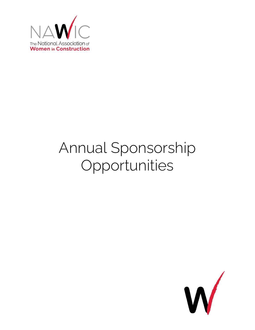

# Annual Sponsorship Opportunities

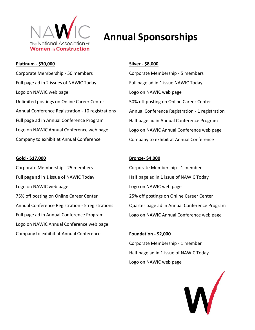

#### **Platinum - \$30,000**

Corporate Membership - 50 members Full page ad in 2 issues of NAWIC Today Logo on NAWIC web page Unlimited postings on Online Career Center Annual Conference Registration - 10 registrations Full page ad in Annual Conference Program Logo on NAWIC Annual Conference web page Company to exhibit at Annual Conference

#### **Gold - \$17,000**

Corporate Membership - 25 members Full page ad in 1 issue of NAWIC Today Logo on NAWIC web page 75% off posting on Online Career Center Annual Conference Registration - 5 registrations Full page ad in Annual Conference Program Logo on NAWIC Annual Conference web page Company to exhibit at Annual Conference

# **Annual Sponsorships**

#### **Silver - \$8,000**

Corporate Membership - 5 members Full page ad in 1 issue NAWIC Today Logo on NAWIC web page 50% off posting on Online Career Center Annual Conference Registration - 1 registration Half page ad in Annual Conference Program Logo on NAWIC Annual Conference web page Company to exhibit at Annual Conference

#### **Bronze- \$4,000**

Corporate Membership - 1 member Half page ad in 1 issue of NAWIC Today Logo on NAWIC web page 25% off postings on Online Career Center Quarter page ad in Annual Conference Program Logo on NAWIC Annual Conference web page

#### **Foundation - \$2,000**

Corporate Membership - 1 member Half page ad in 1 issue of NAWIC Today Logo on NAWIC web page

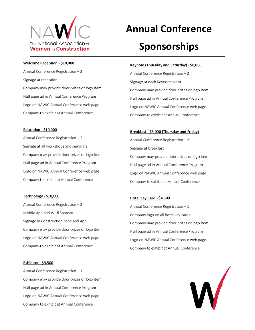

#### Welcome Reception - \$10,000

Annual Conference Registration - 2 Signage at reception Company may provide door prizes or logo item Half page ad in Annual Conference Program Logo on NAWIC Annual Conference web page Company to exhibit at Annual Conference

#### **Education - \$10,000**

Annual Conference Registration - 2 Signage at all workshops and seminars Company may provide door prizes or logo item Half page ad in Annual Conference Program Logo on NAWIC Annual Conference web page Company to exhibit at Annual Conference

#### Technology - \$10,000

Annual Conference Registration - 2 Mobile App and Wi-fi Sponsor Signage in Construction Zone and App Company may provide door prizes or logo item Logo on NAWIC Annual Conference web page Company to exhibit at Annual Conference

#### Exhibitor - \$3,500

Annual Conference Registration - 1 Company may provide door prizes or logo item Half page ad in Annual Conference Program Logo on NAWIC Annual Conference web page Company to exhibit at Annual Conference

# **Annual Conference**

## **Sponsorships**

#### Keynote (Thursday and Saturday) - \$8,000

Annual Conference Registration - 2 Signage at each Keynote event Company may provide door prizes or logo item Half page ad in Annual Conference Program Logo on NAWIC Annual Conference web page Company to exhibit at Annual Conference

### Breakfast - \$8,000 (Thursday and Friday) Annual Conference Registration - 2 Signage at breakfast Company may provide door prizes or logo item Half page ad in Annual Conference Program Logo on NAWIC Annual Conference web page Company to exhibit at Annual Conference

#### Hotel Key Card - \$4,500

Annual Conference Registration - 1 Company logo on all hotel key cards Company may provide door prizes or logo item Half page ad in Annual Conference Program Logo on NAWIC Annual Conference web page Company to exhibit at Annual Conference